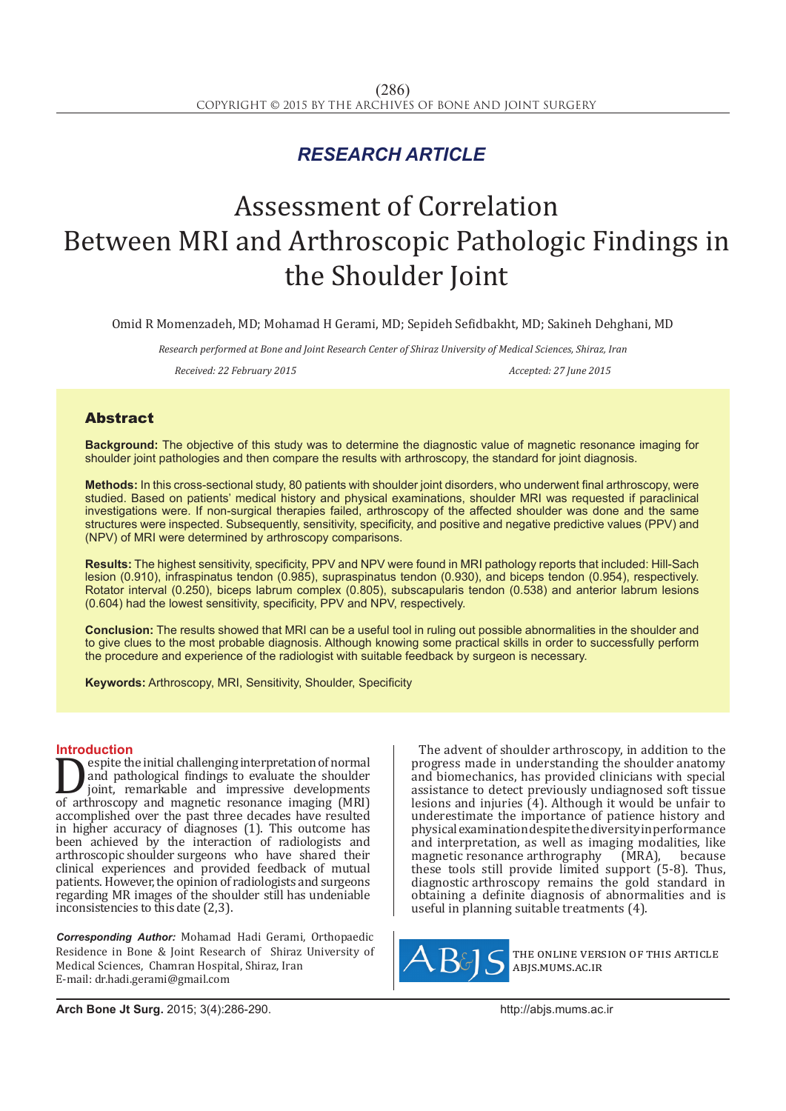## *RESEARCH ARTICLE*

# Assessment of Correlation Between MRI and Arthroscopic Pathologic Findings in the Shoulder Joint

Omid R Momenzadeh, MD; Mohamad H Gerami, MD; Sepideh Sefidbakht, MD; Sakineh Dehghani, MD

*Research performed at Bone and Joint Research Center of Shiraz University of Medical Sciences, Shiraz, Iran*

*Received: 22 February 2015 Accepted: 27 June 2015*

### Abstract

**Background:** The objective of this study was to determine the diagnostic value of magnetic resonance imaging for shoulder joint pathologies and then compare the results with arthroscopy, the standard for joint diagnosis.

**Methods:** In this cross-sectional study, 80 patients with shoulder joint disorders, who underwent final arthroscopy, were studied. Based on patients' medical history and physical examinations, shoulder MRI was requested if paraclinical investigations were. If non-surgical therapies failed, arthroscopy of the affected shoulder was done and the same structures were inspected. Subsequently, sensitivity, specificity, and positive and negative predictive values (PPV) and (NPV) of MRI were determined by arthroscopy comparisons.

**Results:** The highest sensitivity, specificity, PPV and NPV were found in MRI pathology reports that included: Hill-Sach lesion (0.910), infraspinatus tendon (0.985), supraspinatus tendon (0.930), and biceps tendon (0.954), respectively. Rotator interval (0.250), biceps labrum complex (0.805), subscapularis tendon (0.538) and anterior labrum lesions (0.604) had the lowest sensitivity, specificity, PPV and NPV, respectively.

**Conclusion:** The results showed that MRI can be a useful tool in ruling out possible abnormalities in the shoulder and to give clues to the most probable diagnosis. Although knowing some practical skills in order to successfully perform the procedure and experience of the radiologist with suitable feedback by surgeon is necessary.

**Keywords:** Arthroscopy, MRI, Sensitivity, Shoulder, Specificity

**Introduction**<br> **Interpretation of normal Example the initial challenging interpretation of normal**<br>
of arthroscopy and magnetic resonance imaging (MRI)<br>
of arthroscopy and magnetic resonance imaging (MRI)<br>
occomplished over the nost three decodes have resulted and pathological findings to evaluate the shoulder joint, remarkable and impressive developments accomplished over the past three decades have resulted in higher accuracy of diagnoses (1). This outcome has been achieved by the interaction of radiologists and arthroscopic shoulder surgeons who have shared their clinical experiences and provided feedback of mutual patients. However, the opinion of radiologists and surgeons regarding MR images of the shoulder still has undeniable inconsistencies to this date (2,3).

*Corresponding Author:* Mohamad Hadi Gerami, Orthopaedic Residence in Bone & Joint Research of Shiraz University of Medical Sciences, Chamran Hospital, Shiraz, Iran E-mail: dr.hadi.gerami@gmail.com

The advent of shoulder arthroscopy, in addition to the progress made in understanding the shoulder anatomy and biomechanics, has provided clinicians with special assistance to detect previously undiagnosed soft tissue lesions and injuries (4). Although it would be unfair to underestimate the importance of patience history and physical examination despite the diversity in performance and interpretation, as well as imaging modalities, like magnetic resonance arthrography (MRA), because these tools still provide limited support (5-8). Thus, diagnostic arthroscopy remains the gold standard in obtaining a definite diagnosis of abnormalities and is useful in planning suitable treatments (4).



the online version of this article abjs.mums.ac.ir

**Arch Bone Jt Surg.** 2015; 3(4):286-290.http://abjs.mums.ac.ir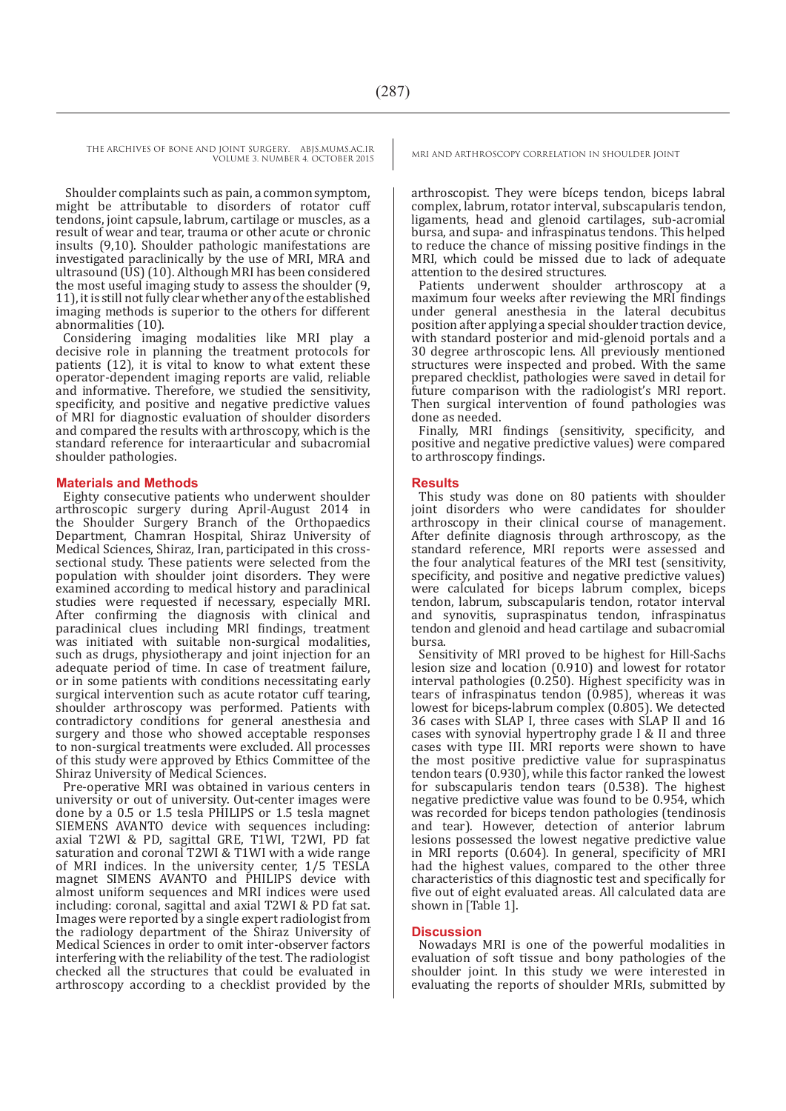Shoulder complaints such as pain, a common symptom, might be attributable to disorders of rotator cuff tendons, joint capsule, labrum, cartilage or muscles, as a result of wear and tear, trauma or other acute or chronic insults (9,10). Shoulder pathologic manifestations are investigated paraclinically by the use of MRI, MRA and ultrasound (US) (10). Although MRI has been considered the most useful imaging study to assess the shoulder (9, 11), it is still not fully clear whether any of the established imaging methods is superior to the others for different abnormalities (10).

Considering imaging modalities like MRI play a decisive role in planning the treatment protocols for patients (12), it is vital to know to what extent these operator-dependent imaging reports are valid, reliable and informative. Therefore, we studied the sensitivity, specificity, and positive and negative predictive values of MRI for diagnostic evaluation of shoulder disorders and compared the results with arthroscopy, which is the standard reference for interaarticular and subacromial shoulder pathologies.

#### **Materials and Methods**

Eighty consecutive patients who underwent shoulder arthroscopic surgery during April-August 2014 in the Shoulder Surgery Branch of the Orthopaedics Department, Chamran Hospital, Shiraz University of Medical Sciences, Shiraz, Iran, participated in this crosssectional study. These patients were selected from the population with shoulder joint disorders. They were examined according to medical history and paraclinical studies were requested if necessary, especially MRI. After confirming the diagnosis with clinical and paraclinical clues including MRI findings, treatment was initiated with suitable non-surgical modalities, such as drugs, physiotherapy and joint injection for an adequate period of time. In case of treatment failure, or in some patients with conditions necessitating early surgical intervention such as acute rotator cuff tearing, shoulder arthroscopy was performed. Patients with contradictory conditions for general anesthesia and surgery and those who showed acceptable responses to non-surgical treatments were excluded. All processes of this study were approved by Ethics Committee of the Shiraz University of Medical Sciences.

Pre-operative MRI was obtained in various centers in university or out of university. Out-center images were done by a 0.5 or 1.5 tesla PHILIPS or 1.5 tesla magnet SIEMENS AVANTO device with sequences including: axial T2WI & PD, sagittal GRE, T1WI, T2WI, PD fat saturation and coronal T2WI & T1WI with a wide range of MRI indices. In the university center, 1/5 TESLA magnet SIMENS AVANTO and PHILIPS device with almost uniform sequences and MRI indices were used including: coronal, sagittal and axial T2WI & PD fat sat. Images were reported by a single expert radiologist from the radiology department of the Shiraz University of Medical Sciences in order to omit inter-observer factors interfering with the reliability of the test. The radiologist checked all the structures that could be evaluated in arthroscopy according to a checklist provided by the

arthroscopist. They were bíceps tendon, biceps labral complex, labrum, rotator interval, subscapularis tendon, ligaments, head and glenoid cartilages, sub-acromial bursa, and supa- and infraspinatus tendons. This helped to reduce the chance of missing positive findings in the MRI, which could be missed due to lack of adequate attention to the desired structures.

Patients underwent shoulder arthroscopy at a maximum four weeks after reviewing the MRI findings under general anesthesia in the lateral decubitus position after applying a special shoulder traction device, with standard posterior and mid-glenoid portals and a 30 degree arthroscopic lens. All previously mentioned structures were inspected and probed. With the same prepared checklist, pathologies were saved in detail for future comparison with the radiologist's MRI report. Then surgical intervention of found pathologies was done as needed.

Finally, MRI findings (sensitivity, specificity, and positive and negative predictive values) were compared to arthroscopy findings.

#### **Results**

This study was done on 80 patients with shoulder joint disorders who were candidates for shoulder arthroscopy in their clinical course of management. After definite diagnosis through arthroscopy, as the standard reference, MRI reports were assessed and the four analytical features of the MRI test (sensitivity, specificity, and positive and negative predictive values) were calculated for biceps labrum complex, biceps tendon, labrum, subscapularis tendon, rotator interval and synovitis, supraspinatus tendon, infraspinatus tendon and glenoid and head cartilage and subacromial bursa.

Sensitivity of MRI proved to be highest for Hill-Sachs lesion size and location (0.910) and lowest for rotator interval pathologies (0.250). Highest specificity was in tears of infraspinatus tendon (0.985), whereas it was lowest for biceps-labrum complex (0.805). We detected 36 cases with SLAP I, three cases with SLAP II and 16 cases with synovial hypertrophy grade I & II and three cases with type III. MRI reports were shown to have the most positive predictive value for supraspinatus tendon tears (0.930), while this factor ranked the lowest for subscapularis tendon tears (0.538). The highest negative predictive value was found to be 0.954, which was recorded for biceps tendon pathologies (tendinosis and tear). However, detection of anterior labrum lesions possessed the lowest negative predictive value in MRI reports (0.604). In general, specificity of MRI had the highest values, compared to the other three characteristics of this diagnostic test and specifically for five out of eight evaluated areas. All calculated data are shown in [Table 1].

#### **Discussion**

Nowadays MRI is one of the powerful modalities in evaluation of soft tissue and bony pathologies of the shoulder joint. In this study we were interested in evaluating the reports of shoulder MRIs, submitted by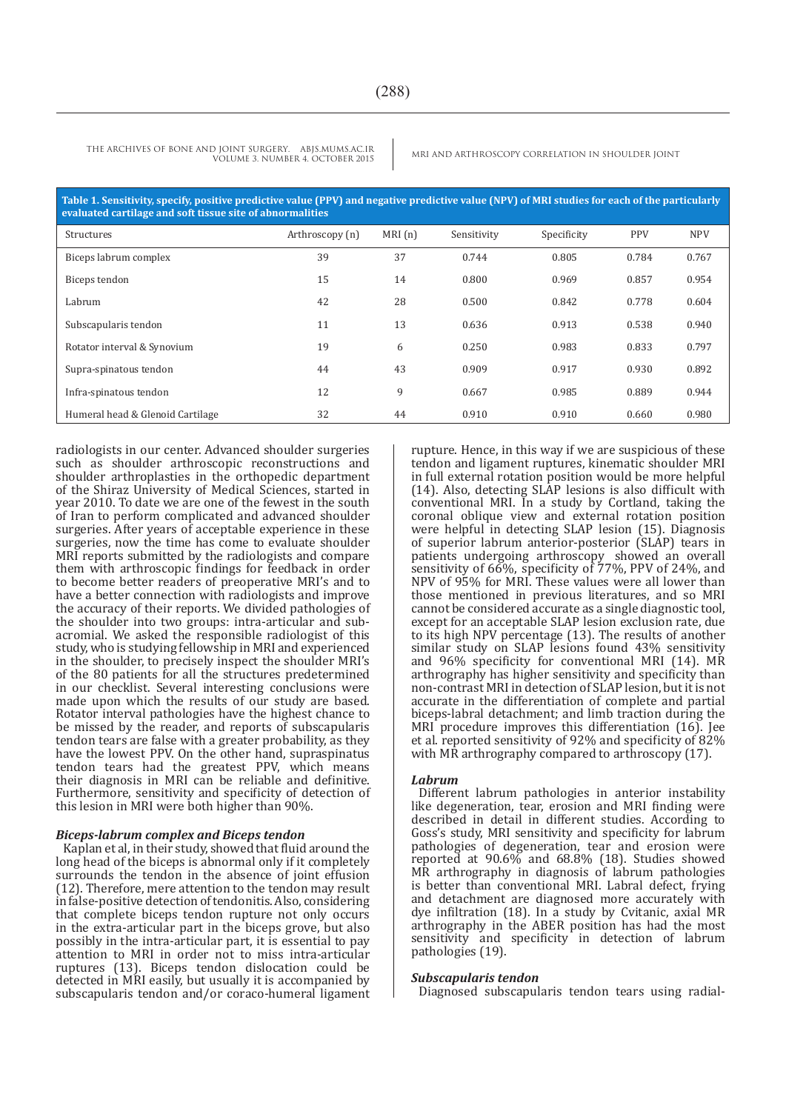**Table 1. Sensitivity, specify, positive predictive value (PPV) and negative predictive value (NPV) of MRI studies for each of the particularly evaluated cartilage and soft tissue site of abnormalities** 

| Structures                       | Arthroscopy (n) | MRI(n) | Sensitivity | Specificity | <b>PPV</b> | <b>NPV</b> |
|----------------------------------|-----------------|--------|-------------|-------------|------------|------------|
| Biceps labrum complex            | 39              | 37     | 0.744       | 0.805       | 0.784      | 0.767      |
| Biceps tendon                    | 15              | 14     | 0.800       | 0.969       | 0.857      | 0.954      |
| Labrum                           | 42              | 28     | 0.500       | 0.842       | 0.778      | 0.604      |
| Subscapularis tendon             | 11              | 13     | 0.636       | 0.913       | 0.538      | 0.940      |
| Rotator interval & Synovium      | 19              | 6      | 0.250       | 0.983       | 0.833      | 0.797      |
| Supra-spinatous tendon           | 44              | 43     | 0.909       | 0.917       | 0.930      | 0.892      |
| Infra-spinatous tendon           | 12              | 9      | 0.667       | 0.985       | 0.889      | 0.944      |
| Humeral head & Glenoid Cartilage | 32              | 44     | 0.910       | 0.910       | 0.660      | 0.980      |

radiologists in our center. Advanced shoulder surgeries such as shoulder arthroscopic reconstructions and shoulder arthroplasties in the orthopedic department of the Shiraz University of Medical Sciences, started in year 2010. To date we are one of the fewest in the south of Iran to perform complicated and advanced shoulder surgeries. After years of acceptable experience in these surgeries, now the time has come to evaluate shoulder MRI reports submitted by the radiologists and compare them with arthroscopic findings for feedback in order to become better readers of preoperative MRI's and to have a better connection with radiologists and improve the accuracy of their reports. We divided pathologies of the shoulder into two groups: intra-articular and subacromial. We asked the responsible radiologist of this study, who is studying fellowship in MRI and experienced in the shoulder, to precisely inspect the shoulder MRI's of the 80 patients for all the structures predetermined in our checklist. Several interesting conclusions were made upon which the results of our study are based. Rotator interval pathologies have the highest chance to be missed by the reader, and reports of subscapularis tendon tears are false with a greater probability, as they have the lowest PPV. On the other hand, supraspinatus tendon tears had the greatest PPV, which means their diagnosis in MRI can be reliable and definitive. Furthermore, sensitivity and specificity of detection of this lesion in MRI were both higher than 90%.

#### *Biceps-labrum complex and Biceps tendon*

Kaplan et al, in their study, showed that fluid around the long head of the biceps is abnormal only if it completely surrounds the tendon in the absence of joint effusion (12). Therefore, mere attention to the tendon may result in false-positive detection of tendonitis. Also, considering that complete biceps tendon rupture not only occurs in the extra-articular part in the biceps grove, but also possibly in the intra-articular part, it is essential to pay attention to MRI in order not to miss intra-articular ruptures (13). Biceps tendon dislocation could be detected in MRI easily, but usually it is accompanied by subscapularis tendon and/or coraco-humeral ligament rupture. Hence, in this way if we are suspicious of these tendon and ligament ruptures, kinematic shoulder MRI in full external rotation position would be more helpful (14). Also, detecting SLAP lesions is also difficult with conventional MRI. In a study by Cortland, taking the coronal oblique view and external rotation position were helpful in detecting SLAP lesion (15). Diagnosis of superior labrum anterior-posterior (SLAP) tears in patients undergoing arthroscopy showed an overall sensitivity of 66%, specificity of 77%, PPV of 24%, and NPV of 95% for MRI. These values were all lower than those mentioned in previous literatures, and so MRI cannot be considered accurate as a single diagnostic tool, except for an acceptable SLAP lesion exclusion rate, due to its high NPV percentage (13). The results of another similar study on SLAP lesions found 43% sensitivity and 96% specificity for conventional MRI (14). MR arthrography has higher sensitivity and specificity than non-contrast MRI in detection of SLAP lesion, but it is not accurate in the differentiation of complete and partial biceps-labral detachment; and limb traction during the MRI procedure improves this differentiation (16). Jee et al. reported sensitivity of 92% and specificity of 82% with MR arthrography compared to arthroscopy (17).

#### *Labrum*

Different labrum pathologies in anterior instability like degeneration, tear, erosion and MRI finding were described in detail in different studies. According to Goss's study, MRI sensitivity and specificity for labrum pathologies of degeneration, tear and erosion were reported at 90.6% and 68.8% (18). Studies showed MR arthrography in diagnosis of labrum pathologies is better than conventional MRI. Labral defect, frying and detachment are diagnosed more accurately with dye infiltration (18). In a study by Cvitanic, axial MR arthrography in the ABER position has had the most sensitivity and specificity in detection of labrum pathologies (19).

#### *Subscapularis tendon*

Diagnosed subscapularis tendon tears using radial-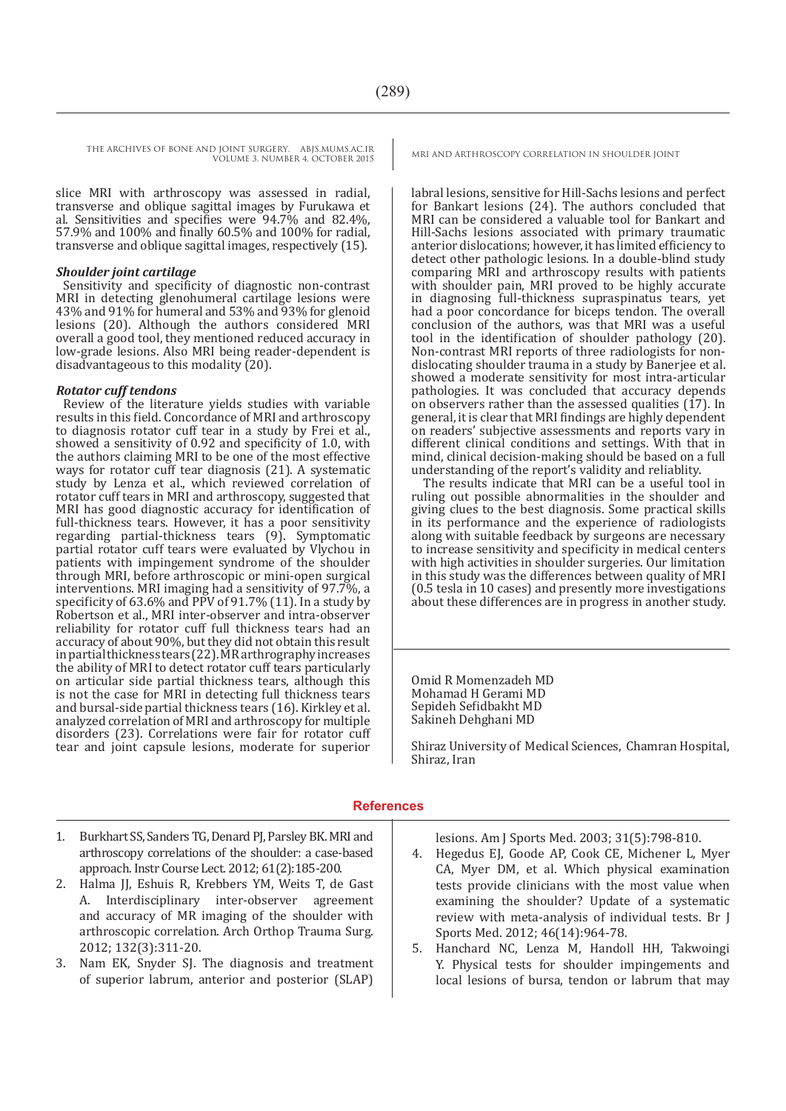slice MRI with arthroscopy was assessed in radial, transverse and oblique sagittal images by Furukawa et al. Sensitivities and specifies were 94.7% and 82.4%, 57.9% and 100% and finally 60.5% and 100% for radial, transverse and oblique sagittal images, respectively (15).

#### *Shoulder joint cartilage*

Sensitivity and specificity of diagnostic non-contrast MRI in detecting glenohumeral cartilage lesions were 43% and 91% for humeral and 53% and 93% for glenoid lesions (20). Although the authors considered MRI overall a good tool, they mentioned reduced accuracy in low-grade lesions. Also MRI being reader-dependent is disadvantageous to this modality (20).

#### *Rotator cuff tendons*

Review of the literature yields studies with variable results in this field. Concordance of MRI and arthroscopy to diagnosis rotator cuff tear in a study by Frei et al., showed a sensitivity of 0.92 and specificity of 1.0, with the authors claiming MRI to be one of the most effective ways for rotator cuff tear diagnosis (21). A systematic study by Lenza et al., which reviewed correlation of rotator cuff tears in MRI and arthroscopy, suggested that MRI has good diagnostic accuracy for identification of full-thickness tears. However, it has a poor sensitivity regarding partial-thickness tears (9). Symptomatic partial rotator cuff tears were evaluated by Vlychou in patients with impingement syndrome of the shoulder through MRI, before arthroscopic or mini-open surgical interventions. MRI imaging had a sensitivity of 97.7%, a specificity of 63.6% and PPV of 91.7% (11). In a study by Robertson et al., MRI inter-observer and intra-observer reliability for rotator cuff full thickness tears had an accuracy of about 90%, but they did not obtain this result in partial thickness tears (22). MR arthrography increases the ability of MRI to detect rotator cuff tears particularly on articular side partial thickness tears, although this is not the case for MRI in detecting full thickness tears and bursal-side partial thickness tears (16). Kirkley et al. analyzed correlation of MRI and arthroscopy for multiple disorders (23). Correlations were fair for rotator cuff tear and joint capsule lesions, moderate for superior

labral lesions, sensitive for Hill-Sachs lesions and perfect for Bankart lesions (24). The authors concluded that MRI can be considered a valuable tool for Bankart and Hill-Sachs lesions associated with primary traumatic anterior dislocations; however, it has limited efficiency to detect other pathologic lesions. In a double-blind study comparing MRI and arthroscopy results with patients with shoulder pain, MRI proved to be highly accurate in diagnosing full-thickness supraspinatus tears, yet had a poor concordance for biceps tendon. The overall conclusion of the authors, was that MRI was a useful tool in the identification of shoulder pathology (20). Non-contrast MRI reports of three radiologists for nondislocating shoulder trauma in a study by Banerjee et al. showed a moderate sensitivity for most intra-articular pathologies. It was concluded that accuracy depends on observers rather than the assessed qualities  $(17)$ . In general, it is clear that MRI findings are highly dependent on readers' subjective assessments and reports vary in different clinical conditions and settings. With that in mind, clinical decision-making should be based on a full understanding of the report's validity and reliablity.

 The results indicate that MRI can be a useful tool in ruling out possible abnormalities in the shoulder and giving clues to the best diagnosis. Some practical skills in its performance and the experience of radiologists along with suitable feedback by surgeons are necessary to increase sensitivity and specificity in medical centers with high activities in shoulder surgeries. Our limitation in this study was the differences between quality of MRI (0.5 tesla in 10 cases) and presently more investigations about these differences are in progress in another study.

Omid R Momenzadeh MD Mohamad H Gerami MD Sepideh Sefidbakht MD Sakineh Dehghani MD

Shiraz University of Medical Sciences, Chamran Hospital, Shiraz, Iran

#### **References**

- 1. Burkhart SS, Sanders TG, Denard PJ, Parsley BK. MRI and arthroscopy correlations of the shoulder: a case-based approach. Instr Course Lect. 2012; 61(2):185-200.
- 2. Halma JJ, Eshuis R, Krebbers YM, Weits T, de Gast<br>A Interdisciplinary inter-observer agreement Interdisciplinary inter-observer agreement and accuracy of MR imaging of the shoulder with arthroscopic correlation. Arch Orthop Trauma Surg. 2012; 132(3):311-20.
- 3. Nam EK, Snyder SJ. The diagnosis and treatment of superior labrum, anterior and posterior (SLAP)

lesions. Am J Sports Med. 2003; 31(5):798-810.

- 4. Hegedus EJ, Goode AP, Cook CE, Michener L, Myer CA, Myer DM, et al. Which physical examination tests provide clinicians with the most value when examining the shoulder? Update of a systematic review with meta-analysis of individual tests. Br J Sports Med. 2012; 46(14):964-78.
- 5. Hanchard NC, Lenza M, Handoll HH, Takwoingi Y. Physical tests for shoulder impingements and local lesions of bursa, tendon or labrum that may